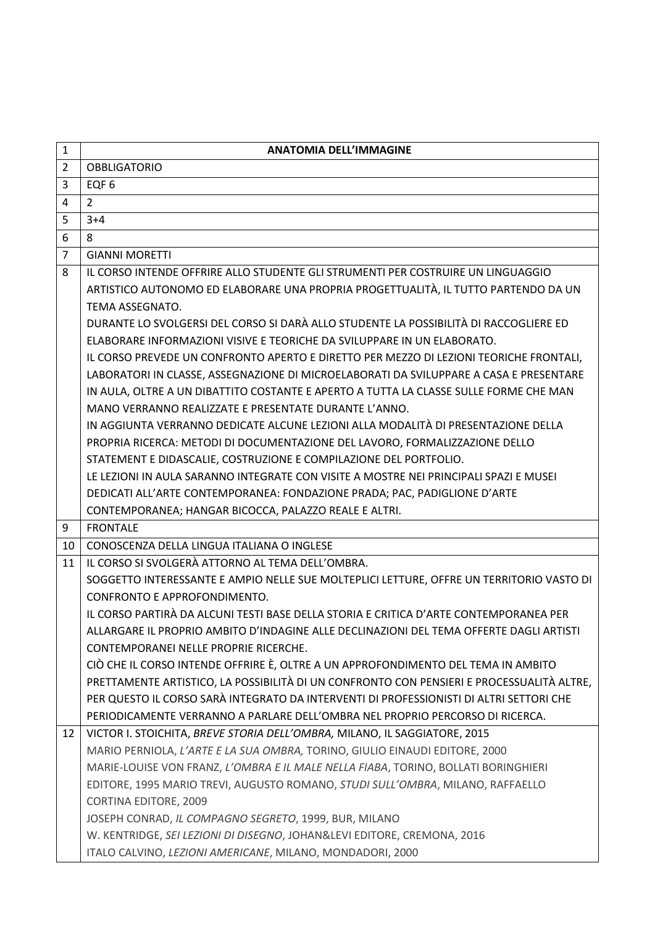| $\mathbf{1}$   | <b>ANATOMIA DELL'IMMAGINE</b>                                                             |
|----------------|-------------------------------------------------------------------------------------------|
| $\overline{2}$ | <b>OBBLIGATORIO</b>                                                                       |
| 3              | EQF <sub>6</sub>                                                                          |
| 4              | $\overline{2}$                                                                            |
| 5              | $3 + 4$                                                                                   |
| 6              | 8                                                                                         |
| $\overline{7}$ | <b>GIANNI MORETTI</b>                                                                     |
| 8              | IL CORSO INTENDE OFFRIRE ALLO STUDENTE GLI STRUMENTI PER COSTRUIRE UN LINGUAGGIO          |
|                | ARTISTICO AUTONOMO ED ELABORARE UNA PROPRIA PROGETTUALITÀ, IL TUTTO PARTENDO DA UN        |
|                | TEMA ASSEGNATO.                                                                           |
|                | DURANTE LO SVOLGERSI DEL CORSO SI DARÀ ALLO STUDENTE LA POSSIBILITÀ DI RACCOGLIERE ED     |
|                | ELABORARE INFORMAZIONI VISIVE E TEORICHE DA SVILUPPARE IN UN ELABORATO.                   |
|                | IL CORSO PREVEDE UN CONFRONTO APERTO E DIRETTO PER MEZZO DI LEZIONI TEORICHE FRONTALI,    |
|                | LABORATORI IN CLASSE, ASSEGNAZIONE DI MICROELABORATI DA SVILUPPARE A CASA E PRESENTARE    |
|                | IN AULA, OLTRE A UN DIBATTITO COSTANTE E APERTO A TUTTA LA CLASSE SULLE FORME CHE MAN     |
|                | MANO VERRANNO REALIZZATE E PRESENTATE DURANTE L'ANNO.                                     |
|                | IN AGGIUNTA VERRANNO DEDICATE ALCUNE LEZIONI ALLA MODALITÀ DI PRESENTAZIONE DELLA         |
|                | PROPRIA RICERCA: METODI DI DOCUMENTAZIONE DEL LAVORO, FORMALIZZAZIONE DELLO               |
|                | STATEMENT E DIDASCALIE, COSTRUZIONE E COMPILAZIONE DEL PORTFOLIO.                         |
|                | LE LEZIONI IN AULA SARANNO INTEGRATE CON VISITE A MOSTRE NEI PRINCIPALI SPAZI E MUSEI     |
|                | DEDICATI ALL'ARTE CONTEMPORANEA: FONDAZIONE PRADA; PAC, PADIGLIONE D'ARTE                 |
|                | CONTEMPORANEA; HANGAR BICOCCA, PALAZZO REALE E ALTRI.                                     |
| 9              | <b>FRONTALE</b>                                                                           |
| 10             | CONOSCENZA DELLA LINGUA ITALIANA O INGLESE                                                |
| 11             | IL CORSO SI SVOLGERÀ ATTORNO AL TEMA DELL'OMBRA.                                          |
|                | SOGGETTO INTERESSANTE E AMPIO NELLE SUE MOLTEPLICI LETTURE, OFFRE UN TERRITORIO VASTO DI  |
|                | CONFRONTO E APPROFONDIMENTO.                                                              |
|                | IL CORSO PARTIRÀ DA ALCUNI TESTI BASE DELLA STORIA E CRITICA D'ARTE CONTEMPORANEA PER     |
|                | ALLARGARE IL PROPRIO AMBITO D'INDAGINE ALLE DECLINAZIONI DEL TEMA OFFERTE DAGLI ARTISTI   |
|                | CONTEMPORANEI NELLE PROPRIE RICERCHE.                                                     |
|                | CIÒ CHE IL CORSO INTENDE OFFRIRE È, OLTRE A UN APPROFONDIMENTO DEL TEMA IN AMBITO         |
|                | PRETTAMENTE ARTISTICO, LA POSSIBILITÀ DI UN CONFRONTO CON PENSIERI E PROCESSUALITÀ ALTRE, |
|                | PER QUESTO IL CORSO SARÀ INTEGRATO DA INTERVENTI DI PROFESSIONISTI DI ALTRI SETTORI CHE   |
|                | PERIODICAMENTE VERRANNO A PARLARE DELL'OMBRA NEL PROPRIO PERCORSO DI RICERCA.             |
| 12             | VICTOR I. STOICHITA, BREVE STORIA DELL'OMBRA, MILANO, IL SAGGIATORE, 2015                 |
|                | MARIO PERNIOLA, L'ARTE E LA SUA OMBRA, TORINO, GIULIO EINAUDI EDITORE, 2000               |
|                | MARIE-LOUISE VON FRANZ, L'OMBRA E IL MALE NELLA FIABA, TORINO, BOLLATI BORINGHIERI        |
|                | EDITORE, 1995 MARIO TREVI, AUGUSTO ROMANO, STUDI SULL'OMBRA, MILANO, RAFFAELLO            |
|                | <b>CORTINA EDITORE, 2009</b>                                                              |
|                | JOSEPH CONRAD, IL COMPAGNO SEGRETO, 1999, BUR, MILANO                                     |
|                | W. KENTRIDGE, SEI LEZIONI DI DISEGNO, JOHAN&LEVI EDITORE, CREMONA, 2016                   |
|                | ITALO CALVINO, LEZIONI AMERICANE, MILANO, MONDADORI, 2000                                 |